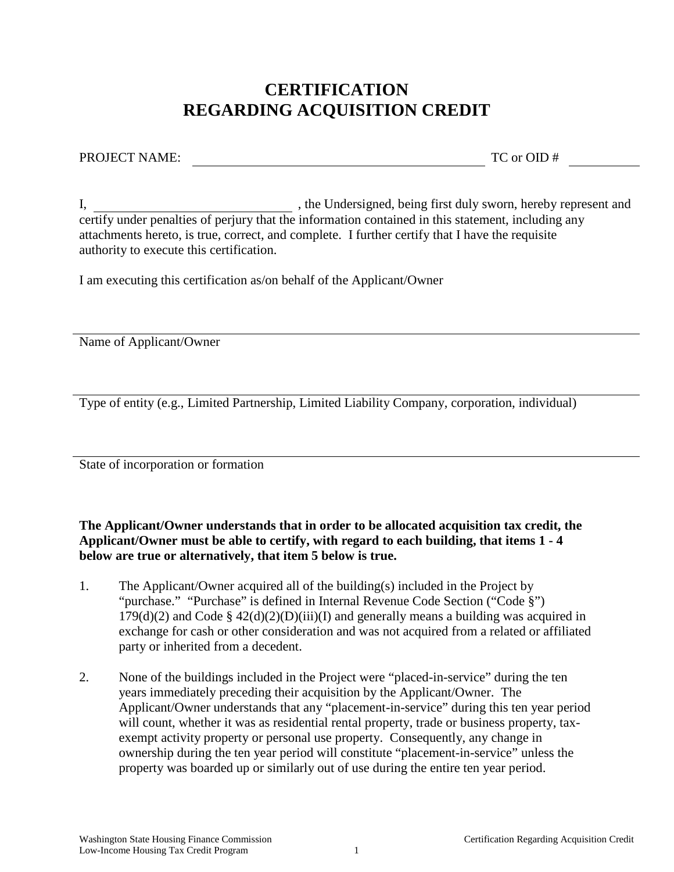## **CERTIFICATION REGARDING ACQUISITION CREDIT**

PROJECT NAME: TC or OID #

I, , the Undersigned, being first duly sworn, hereby represent and certify under penalties of perjury that the information contained in this statement, including any attachments hereto, is true, correct, and complete. I further certify that I have the requisite authority to execute this certification.

I am executing this certification as/on behalf of the Applicant/Owner

Name of Applicant/Owner

Type of entity (e.g., Limited Partnership, Limited Liability Company, corporation, individual)

State of incorporation or formation

**The Applicant/Owner understands that in order to be allocated acquisition tax credit, the Applicant/Owner must be able to certify, with regard to each building, that items 1 - 4 below are true or alternatively, that item 5 below is true.**

- 1. The Applicant/Owner acquired all of the building(s) included in the Project by "purchase." "Purchase" is defined in Internal Revenue Code Section ("Code §")  $179(d)(2)$  and Code §  $42(d)(2)(D)(iii)(I)$  and generally means a building was acquired in exchange for cash or other consideration and was not acquired from a related or affiliated party or inherited from a decedent.
- 2. None of the buildings included in the Project were "placed-in-service" during the ten years immediately preceding their acquisition by the Applicant/Owner. The Applicant/Owner understands that any "placement-in-service" during this ten year period will count, whether it was as residential rental property, trade or business property, taxexempt activity property or personal use property. Consequently, any change in ownership during the ten year period will constitute "placement-in-service" unless the property was boarded up or similarly out of use during the entire ten year period.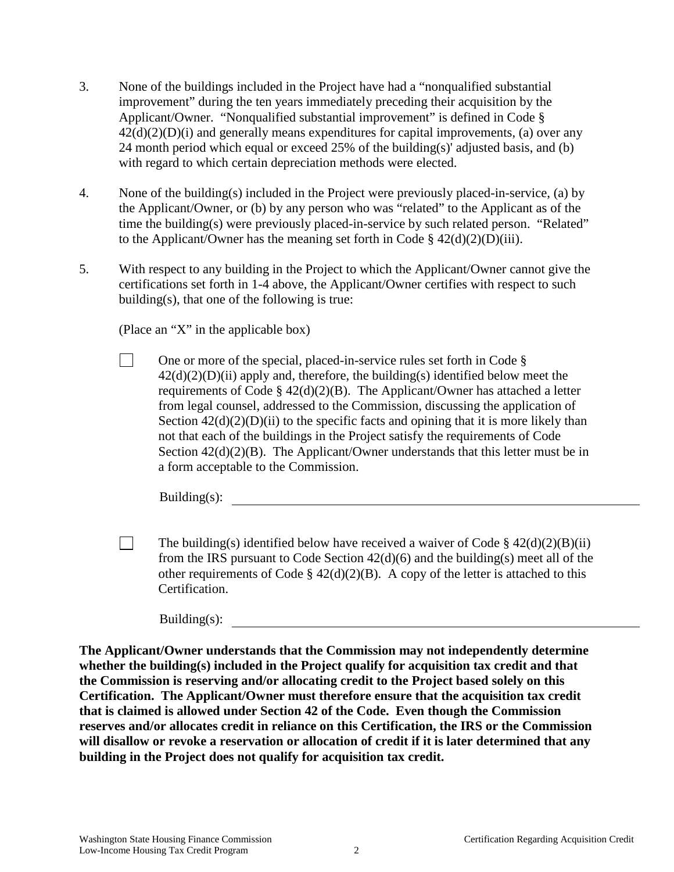- 3. None of the buildings included in the Project have had a "nonqualified substantial improvement" during the ten years immediately preceding their acquisition by the Applicant/Owner. "Nonqualified substantial improvement" is defined in Code §  $42(d)(2)(D)(i)$  and generally means expenditures for capital improvements, (a) over any 24 month period which equal or exceed 25% of the building(s)' adjusted basis, and (b) with regard to which certain depreciation methods were elected.
- 4. None of the building(s) included in the Project were previously placed-in-service, (a) by the Applicant/Owner, or (b) by any person who was "related" to the Applicant as of the time the building(s) were previously placed-in-service by such related person. "Related" to the Applicant/Owner has the meaning set forth in Code  $\S 42(d)(2)(D)(iii)$ .
- 5. With respect to any building in the Project to which the Applicant/Owner cannot give the certifications set forth in 1-4 above, the Applicant/Owner certifies with respect to such building(s), that one of the following is true:

(Place an "X" in the applicable box)

П One or more of the special, placed-in-service rules set forth in Code §  $42(d)(2)(D)(ii)$  apply and, therefore, the building(s) identified below meet the requirements of Code § 42(d)(2)(B). The Applicant/Owner has attached a letter from legal counsel, addressed to the Commission, discussing the application of Section  $42(d)(2)(D)(ii)$  to the specific facts and opining that it is more likely than not that each of the buildings in the Project satisfy the requirements of Code Section  $42(d)(2)(B)$ . The Applicant/Owner understands that this letter must be in a form acceptable to the Commission.

 $Building(s)$ :

 $\Box$ The building(s) identified below have received a waiver of Code §  $42(d)(2)(B)(ii)$ from the IRS pursuant to Code Section 42(d)(6) and the building(s) meet all of the other requirements of Code §  $42(d)(2)(B)$ . A copy of the letter is attached to this Certification.

 $Building(s)$ :

**The Applicant/Owner understands that the Commission may not independently determine whether the building(s) included in the Project qualify for acquisition tax credit and that the Commission is reserving and/or allocating credit to the Project based solely on this Certification. The Applicant/Owner must therefore ensure that the acquisition tax credit that is claimed is allowed under Section 42 of the Code. Even though the Commission reserves and/or allocates credit in reliance on this Certification, the IRS or the Commission will disallow or revoke a reservation or allocation of credit if it is later determined that any building in the Project does not qualify for acquisition tax credit.**